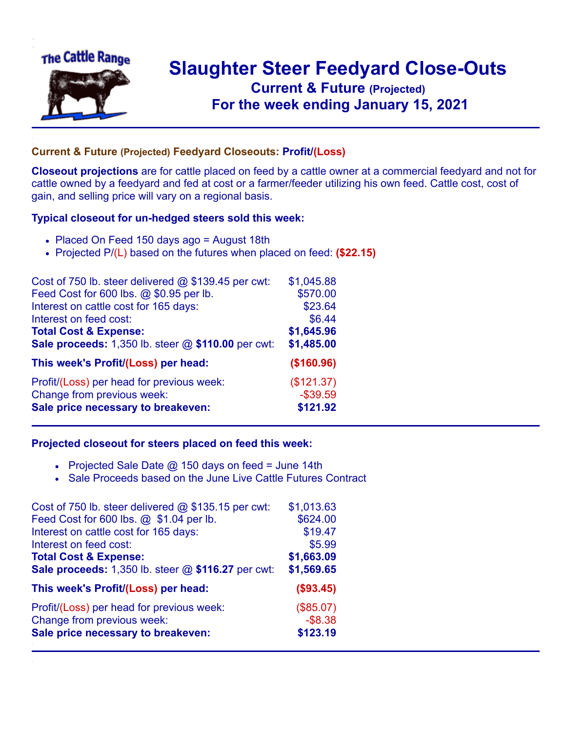

## **Slaughter Steer Feedyard Close-Outs Current & Future (Projected)** .**For the week ending January 15, 2021**

## **Current & Future (Projected) Feedyard Closeouts: Profit/(Loss)**

**Closeout projections** are for cattle placed on feed by a cattle owner at a commercial feedyard and not for cattle owned by a feedyard and fed at cost or a farmer/feeder utilizing his own feed. Cattle cost, cost of gain, and selling price will vary on a regional basis.

## **Typical closeout for un-hedged steers sold this week:**

- Placed On Feed 150 days ago = August 18th
- Projected P/(L) based on the futures when placed on feed: **(\$22.15)**

| Cost of 750 lb. steer delivered @ \$139.45 per cwt: | \$1,045.88  |
|-----------------------------------------------------|-------------|
| Feed Cost for 600 lbs. @ \$0.95 per lb.             | \$570.00    |
| Interest on cattle cost for 165 days:               | \$23.64     |
| Interest on feed cost:                              | \$6.44      |
| <b>Total Cost &amp; Expense:</b>                    | \$1,645.96  |
| Sale proceeds: 1,350 lb. steer @ \$110.00 per cwt:  | \$1,485.00  |
| This week's Profit/(Loss) per head:                 | (\$160.96)  |
| Profit/(Loss) per head for previous week:           | (\$121.37)  |
| Change from previous week:                          | $-$ \$39.59 |
| Sale price necessary to breakeven:                  | \$121.92    |

## **Projected closeout for steers placed on feed this week:**

- Projected Sale Date  $@$  150 days on feed = June 14th
- Sale Proceeds based on the June Live Cattle Futures Contract

| Cost of 750 lb. steer delivered $@$ \$135.15 per cwt: | \$1,013.63 |
|-------------------------------------------------------|------------|
| Feed Cost for 600 lbs. @ \$1.04 per lb.               | \$624.00   |
| Interest on cattle cost for 165 days:                 | \$19.47    |
| Interest on feed cost:                                | \$5.99     |
| <b>Total Cost &amp; Expense:</b>                      | \$1,663.09 |
| Sale proceeds: 1,350 lb. steer @ \$116.27 per cwt:    | \$1,569.65 |
| This week's Profit/(Loss) per head:                   | (\$93.45)  |
| Profit/(Loss) per head for previous week:             | (\$85.07)  |
| Change from previous week:                            | $-$ \$8.38 |
| Sale price necessary to breakeven:                    | \$123.19   |